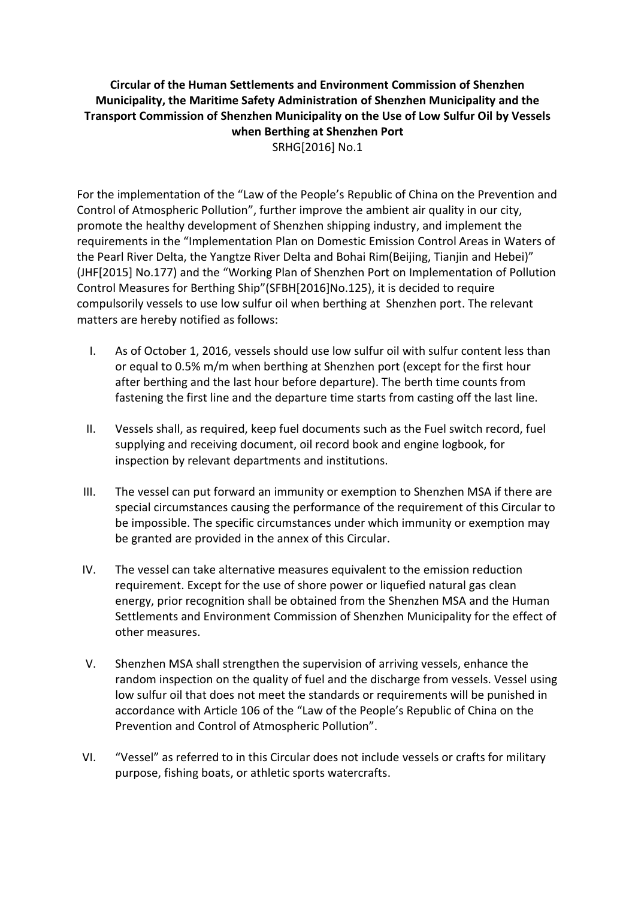**Circular of the Human Settlements and Environment Commission of Shenzhen Municipality, the Maritime Safety Administration of Shenzhen Municipality and the Transport Commission of Shenzhen Municipality on the Use of Low Sulfur Oil by Vessels when Berthing at Shenzhen Port** SRHG[2016] No.1

For the implementation of the "Law of the People's Republic of China on the Prevention and Control of Atmospheric Pollution", further improve the ambient air quality in our city, promote the healthy development of Shenzhen shipping industry, and implement the requirements in the "Implementation Plan on Domestic Emission Control Areas in Waters of the Pearl River Delta, the Yangtze River Delta and Bohai Rim(Beijing, Tianjin and Hebei)" (JHF[2015] No.177) and the "Working Plan of Shenzhen Port on Implementation of Pollution Control Measures for Berthing Ship"(SFBH[2016]No.125), it is decided to require compulsorily vessels to use low sulfur oil when berthing at Shenzhen port. The relevant matters are hereby notified as follows:

- I. As of October 1, 2016, vessels should use low sulfur oil with sulfur content less than or equal to 0.5% m/m when berthing at Shenzhen port (except for the first hour after berthing and the last hour before departure). The berth time counts from fastening the first line and the departure time starts from casting off the last line.
- II. Vessels shall, as required, keep fuel documents such as the Fuel switch record, fuel supplying and receiving document, oil record book and engine logbook, for inspection by relevant departments and institutions.
- III. The vessel can put forward an immunity or exemption to Shenzhen MSA if there are special circumstances causing the performance of the requirement of this Circular to be impossible. The specific circumstances under which immunity or exemption may be granted are provided in the annex of this Circular.
- IV. The vessel can take alternative measures equivalent to the emission reduction requirement. Except for the use of shore power or liquefied natural gas clean energy, prior recognition shall be obtained from the Shenzhen MSA and the Human Settlements and Environment Commission of Shenzhen Municipality for the effect of other measures.
- V. Shenzhen MSA shall strengthen the supervision of arriving vessels, enhance the random inspection on the quality of fuel and the discharge from vessels. Vessel using low sulfur oil that does not meet the standards or requirements will be punished in accordance with Article 106 of the "Law of the People's Republic of China on the Prevention and Control of Atmospheric Pollution".
- VI. "Vessel" as referred to in this Circular does not include vessels or crafts for military purpose, fishing boats, or athletic sports watercrafts.